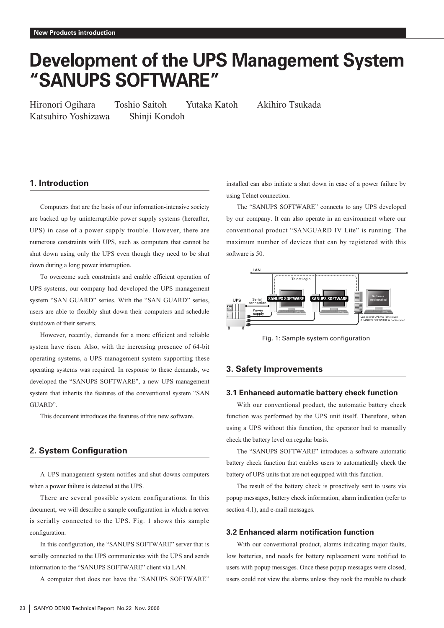# **Development of the UPS Management System "SANUPS SOFTWARE"**

Katsuhiro Yoshizawa Shinji Kondoh

Hironori Ogihara Toshio Saitoh Yutaka Katoh Akihiro Tsukada

## **1. Introduction**

Computers that are the basis of our information-intensive society are backed up by uninterruptible power supply systems (hereafter, UPS) in case of a power supply trouble. However, there are numerous constraints with UPS, such as computers that cannot be shut down using only the UPS even though they need to be shut down during a long power interruption.

To overcome such constraints and enable efficient operation of UPS systems, our company had developed the UPS management system "SAN GUARD" series. With the "SAN GUARD" series, users are able to flexibly shut down their computers and schedule shutdown of their servers.

However, recently, demands for a more efficient and reliable system have risen. Also, with the increasing presence of 64-bit operating systems, a UPS management system supporting these operating systems was required. In response to these demands, we developed the "SANUPS SOFTWARE", a new UPS management system that inherits the features of the conventional system "SAN GUARD".

This document introduces the features of this new software.

## **2. System Configuration**

A UPS management system notifies and shut downs computers when a power failure is detected at the UPS.

There are several possible system configurations. In this document, we will describe a sample configuration in which a server is serially connected to the UPS. Fig. 1 shows this sample configuration.

In this configuration, the "SANUPS SOFTWARE" server that is serially connected to the UPS communicates with the UPS and sends information to the "SANUPS SOFTWARE" client via LAN.

A computer that does not have the "SANUPS SOFTWARE"

installed can also initiate a shut down in case of a power failure by using Telnet connection.

The "SANUPS SOFTWARE" connects to any UPS developed by our company. It can also operate in an environment where our conventional product "SANGUARD IV Lite" is running. The maximum number of devices that can by registered with this software is 50.



Fig. 1: Sample system configuration

## **3. Safety Improvements**

## **3.1 Enhanced automatic battery check function**

With our conventional product, the automatic battery check function was performed by the UPS unit itself. Therefore, when using a UPS without this function, the operator had to manually check the battery level on regular basis.

The "SANUPS SOFTWARE" introduces a software automatic battery check function that enables users to automatically check the battery of UPS units that are not equipped with this function.

The result of the battery check is proactively sent to users via popup messages, battery check information, alarm indication (refer to section 4.1), and e-mail messages.

## **3.2 Enhanced alarm notification function**

With our conventional product, alarms indicating major faults, low batteries, and needs for battery replacement were notified to users with popup messages. Once these popup messages were closed, users could not view the alarms unless they took the trouble to check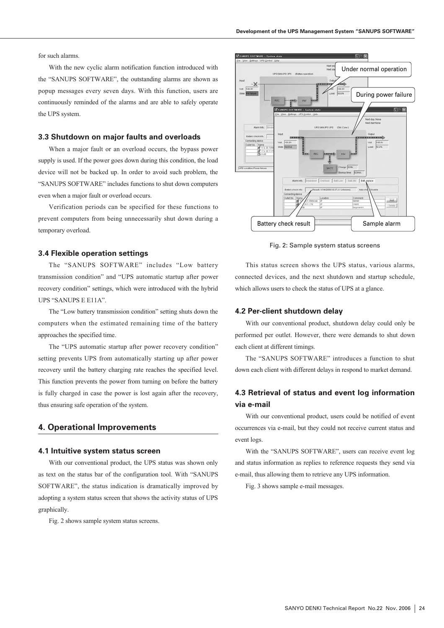for such alarms.

With the new cyclic alarm notification function introduced with the "SANUPS SOFTWARE", the outstanding alarms are shown as popup messages every seven days. With this function, users are continuously reminded of the alarms and are able to safely operate the UPS system.

## **3.3 Shutdown on major faults and overloads**

When a major fault or an overload occurs, the bypass power supply is used. If the power goes down during this condition, the load device will not be backed up. In order to avoid such problem, the "SANUPS SOFTWARE" includes functions to shut down computers even when a major fault or overload occurs.

Verification periods can be specified for these functions to prevent computers from being unnecessarily shut down during a temporary overload.

## **3.4 Flexible operation settings**

The "SANUPS SOFTWARE" includes "Low battery transmission condition" and "UPS automatic startup after power recovery condition" settings, which were introduced with the hybrid UPS "SANUPS E E11A".

The "Low battery transmission condition" setting shuts down the computers when the estimated remaining time of the battery approaches the specified time.

The "UPS automatic startup after power recovery condition" setting prevents UPS from automatically starting up after power recovery until the battery charging rate reaches the specified level. This function prevents the power from turning on before the battery is fully charged in case the power is lost again after the recovery, thus ensuring safe operation of the system.

## **4. Operational Improvements**

## **4.1 Intuitive system status screen**

With our conventional product, the UPS status was shown only as text on the status bar of the configuration tool. With "SANUPS SOFTWARE", the status indication is dramatically improved by adopting a system status screen that shows the activity status of UPS graphically.

Fig. 2 shows sample system status screens.



Fig. 2: Sample system status screens

This status screen shows the UPS status, various alarms, connected devices, and the next shutdown and startup schedule, which allows users to check the status of UPS at a glance.

#### **4.2 Per-client shutdown delay**

With our conventional product, shutdown delay could only be performed per outlet. However, there were demands to shut down each client at different timings.

The "SANUPS SOFTWARE" introduces a function to shut down each client with different delays in respond to market demand.

## **4.3 Retrieval of status and event log information via e-mail**

With our conventional product, users could be notified of event occurrences via e-mail, but they could not receive current status and event logs.

With the "SANUPS SOFTWARE", users can receive event log and status information as replies to reference requests they send via e-mail, thus allowing them to retrieve any UPS information.

Fig. 3 shows sample e-mail messages.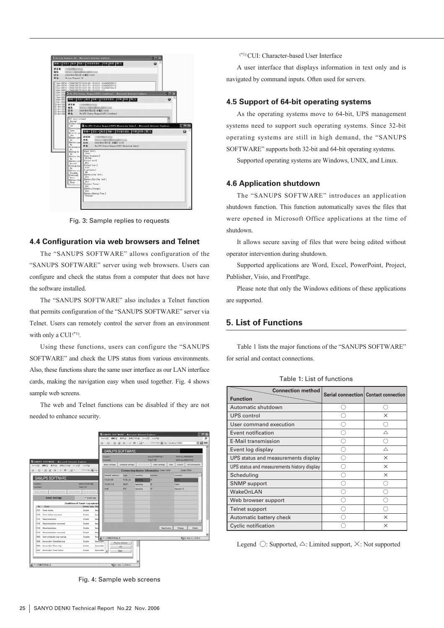| 新規 + 近位 + 転送 移動 + 送信奏を追加。 印刷 新辞 開つる<br>o<br>进信者<br>Bft:<br>2005年08月23日 水曜日 16:25<br><b>Re Log Request All</b><br>[1.3-F (0514) (2006/08/23 16:23:40) (0.0.0.0.) (0.00002000)]<br>2 Ivi (0514) (2006/08/23 16:21:51) (0.0.0.0) (0.00002014) 3<br>[3]H (0514) (2006/08/23 16:21:39) (0.0.0.0) (0.40000100a)]<br>4.5 (4.0501) (2006/08/23 16:21:30) (0.0.0.0) (-)<br>130602 3 Rs.UPS Status Reginat GMS Condition) - Microsoft Internet Explorer<br>$-17x$<br>6341030<br>[ 7 Jul 0051]<br>$\omega$<br>新規 +   近ほ +   転送   移動 +   送信者を追加   印刷   制限   開じる<br>8 Ist (051)<br>9 Jul 0050<br>D.D.Jef <051<br>进信者:<br>013 Jul 084<br>容化<br>D12:3-A <051<br>日付<br>2006年08月23日 水曜日 16:25<br><b>P13 Jul 0051</b><br>外名。<br>Re UPS Status Request UPS Condition)<br>04 Int 0350<br>[AC input voltage]<br>Nurmal<br>Dutout state<br>Re:UPS Status Request (UPS Measuring Value) - Microsoft Internet Explorer<br>$: 0 %BynchronisSync.新規→ 法は→ 転送 移動→ 法信者を追加 印刷 利用 閉じるDoverter opeYes进信者IBypass open魔衛- Noc.Battery opeHet2006年08月23日 水曜日1625NoRe: UPS Status Request LPS Measuring Value)件化Bitanding byNoDrawt Volt.]Dilaiting for104VNoDrout frequency]Mathery Me60.0 HzNoDutsut Volt 1Battery volt98VNormalDutput Curr.][Testing the0.0ANo[Load factor]IBathery test10%Pausbie[Battery Chg. Volt.]Rheat to add26VNone[Battery Dis-Chg. Vult.]Mattery Chy:26VNone[Anbient Temp.]250Battery Charge 102K$ |                     |
|-------------------------------------------------------------------------------------------------------------------------------------------------------------------------------------------------------------------------------------------------------------------------------------------------------------------------------------------------------------------------------------------------------------------------------------------------------------------------------------------------------------------------------------------------------------------------------------------------------------------------------------------------------------------------------------------------------------------------------------------------------------------------------------------------------------------------------------------------------------------------------------------------------------------------------------------------------------------------------------------------------------------------------------------------------------------------------------------------------------------------------------------------------------------------------------------------------------------------------------------------------------------------------------------------------------------------------------------------------------------------------------------|---------------------|
|                                                                                                                                                                                                                                                                                                                                                                                                                                                                                                                                                                                                                                                                                                                                                                                                                                                                                                                                                                                                                                                                                                                                                                                                                                                                                                                                                                                           |                     |
|                                                                                                                                                                                                                                                                                                                                                                                                                                                                                                                                                                                                                                                                                                                                                                                                                                                                                                                                                                                                                                                                                                                                                                                                                                                                                                                                                                                           |                     |
|                                                                                                                                                                                                                                                                                                                                                                                                                                                                                                                                                                                                                                                                                                                                                                                                                                                                                                                                                                                                                                                                                                                                                                                                                                                                                                                                                                                           |                     |
|                                                                                                                                                                                                                                                                                                                                                                                                                                                                                                                                                                                                                                                                                                                                                                                                                                                                                                                                                                                                                                                                                                                                                                                                                                                                                                                                                                                           |                     |
|                                                                                                                                                                                                                                                                                                                                                                                                                                                                                                                                                                                                                                                                                                                                                                                                                                                                                                                                                                                                                                                                                                                                                                                                                                                                                                                                                                                           |                     |
|                                                                                                                                                                                                                                                                                                                                                                                                                                                                                                                                                                                                                                                                                                                                                                                                                                                                                                                                                                                                                                                                                                                                                                                                                                                                                                                                                                                           |                     |
|                                                                                                                                                                                                                                                                                                                                                                                                                                                                                                                                                                                                                                                                                                                                                                                                                                                                                                                                                                                                                                                                                                                                                                                                                                                                                                                                                                                           |                     |
|                                                                                                                                                                                                                                                                                                                                                                                                                                                                                                                                                                                                                                                                                                                                                                                                                                                                                                                                                                                                                                                                                                                                                                                                                                                                                                                                                                                           |                     |
|                                                                                                                                                                                                                                                                                                                                                                                                                                                                                                                                                                                                                                                                                                                                                                                                                                                                                                                                                                                                                                                                                                                                                                                                                                                                                                                                                                                           |                     |
|                                                                                                                                                                                                                                                                                                                                                                                                                                                                                                                                                                                                                                                                                                                                                                                                                                                                                                                                                                                                                                                                                                                                                                                                                                                                                                                                                                                           |                     |
|                                                                                                                                                                                                                                                                                                                                                                                                                                                                                                                                                                                                                                                                                                                                                                                                                                                                                                                                                                                                                                                                                                                                                                                                                                                                                                                                                                                           | <b>GIDX</b>         |
|                                                                                                                                                                                                                                                                                                                                                                                                                                                                                                                                                                                                                                                                                                                                                                                                                                                                                                                                                                                                                                                                                                                                                                                                                                                                                                                                                                                           | $\ddot{\mathbf{v}}$ |
|                                                                                                                                                                                                                                                                                                                                                                                                                                                                                                                                                                                                                                                                                                                                                                                                                                                                                                                                                                                                                                                                                                                                                                                                                                                                                                                                                                                           |                     |
|                                                                                                                                                                                                                                                                                                                                                                                                                                                                                                                                                                                                                                                                                                                                                                                                                                                                                                                                                                                                                                                                                                                                                                                                                                                                                                                                                                                           |                     |
|                                                                                                                                                                                                                                                                                                                                                                                                                                                                                                                                                                                                                                                                                                                                                                                                                                                                                                                                                                                                                                                                                                                                                                                                                                                                                                                                                                                           |                     |
|                                                                                                                                                                                                                                                                                                                                                                                                                                                                                                                                                                                                                                                                                                                                                                                                                                                                                                                                                                                                                                                                                                                                                                                                                                                                                                                                                                                           |                     |
|                                                                                                                                                                                                                                                                                                                                                                                                                                                                                                                                                                                                                                                                                                                                                                                                                                                                                                                                                                                                                                                                                                                                                                                                                                                                                                                                                                                           |                     |
|                                                                                                                                                                                                                                                                                                                                                                                                                                                                                                                                                                                                                                                                                                                                                                                                                                                                                                                                                                                                                                                                                                                                                                                                                                                                                                                                                                                           |                     |
|                                                                                                                                                                                                                                                                                                                                                                                                                                                                                                                                                                                                                                                                                                                                                                                                                                                                                                                                                                                                                                                                                                                                                                                                                                                                                                                                                                                           |                     |
|                                                                                                                                                                                                                                                                                                                                                                                                                                                                                                                                                                                                                                                                                                                                                                                                                                                                                                                                                                                                                                                                                                                                                                                                                                                                                                                                                                                           |                     |
|                                                                                                                                                                                                                                                                                                                                                                                                                                                                                                                                                                                                                                                                                                                                                                                                                                                                                                                                                                                                                                                                                                                                                                                                                                                                                                                                                                                           |                     |
|                                                                                                                                                                                                                                                                                                                                                                                                                                                                                                                                                                                                                                                                                                                                                                                                                                                                                                                                                                                                                                                                                                                                                                                                                                                                                                                                                                                           |                     |
| Illattery Backup Time 3                                                                                                                                                                                                                                                                                                                                                                                                                                                                                                                                                                                                                                                                                                                                                                                                                                                                                                                                                                                                                                                                                                                                                                                                                                                                                                                                                                   |                     |
| 1092sec                                                                                                                                                                                                                                                                                                                                                                                                                                                                                                                                                                                                                                                                                                                                                                                                                                                                                                                                                                                                                                                                                                                                                                                                                                                                                                                                                                                   |                     |

Fig. 3: Sample replies to requests

## **4.4 Configuration via web browsers and Telnet**

The "SANUPS SOFTWARE" allows configuration of the "SANUPS SOFTWARE" server using web browsers. Users can configure and check the status from a computer that does not have the software installed.

The "SANUPS SOFTWARE" also includes a Telnet function that permits configuration of the "SANUPS SOFTWARE" server via Telnet. Users can remotely control the server from an environment with only a CUI $(1)$ .

Using these functions, users can configure the "SANUPS SOFTWARE" and check the UPS status from various environments. Also, these functions share the same user interface as our LAN interface cards, making the navigation easy when used together. Fig. 4 shows sample web screens.

The web and Telnet functions can be disabled if they are not needed to enhance security.



Fig. 4: Sample web screens

(\*1) CUI: Character-based User Interface

A user interface that displays information in text only and is navigated by command inputs. Often used for servers.

## **4.5 Support of 64-bit operating systems**

As the operating systems move to 64-bit, UPS management systems need to support such operating systems. Since 32-bit operating systems are still in high demand, the "SANUPS SOFTWARE" supports both 32-bit and 64-bit operating systems.

Supported operating systems are Windows, UNIX, and Linux.

## **4.6 Application shutdown**

The "SANUPS SOFTWARE" introduces an application shutdown function. This function automatically saves the files that were opened in Microsoft Office applications at the time of shutdown.

It allows secure saving of files that were being edited without operator intervention during shutdown.

Supported applications are Word, Excel, PowerPoint, Project, Publisher, Visio, and FrontPage.

Please note that only the Windows editions of these applications are supported.

## **5. List of Functions**

Table 1 lists the major functions of the "SANUPS SOFTWARE" for serial and contact connections.

| <b>Connection method</b>                    |    | Serial connection Contact connection |
|---------------------------------------------|----|--------------------------------------|
| <b>Function</b>                             |    |                                      |
| Automatic shutdown                          |    |                                      |
| <b>UPS</b> control                          |    | ×                                    |
| User command execution                      |    |                                      |
| Event notification                          |    | Δ                                    |
| <b>E-Mail transmission</b>                  |    |                                      |
| Event log display                           |    | Δ                                    |
| UPS status and measurements display         |    | $\times$                             |
| UPS status and measurements history display |    | $\times$                             |
| Scheduling                                  |    | X                                    |
| <b>SNMP</b> support                         |    |                                      |
| WakeOnLAN                                   |    |                                      |
| Web browser support                         | ۰. |                                      |
| Telnet support                              |    |                                      |
| Automatic battery check                     |    | ×                                    |
| Cyclic notification                         |    | ×                                    |

Table 1: List of functions

Legend **○**: Supported, **△**: Limited support, **×**: Not supported